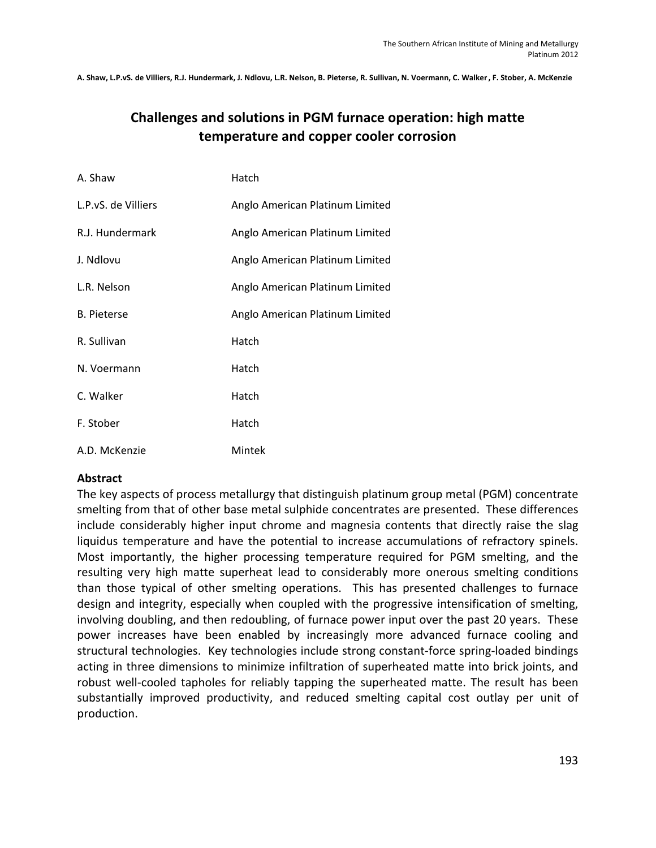A. Shaw, L.P.vS. de Villiers, R.J. Hundermark, J. Ndlovu, L.R. Nelson, B. Pieterse, R. Sullivan, N. Voermann, C. Walker, F. Stober, A. McKenzie

# **Challenges and solutions in PGM furnace operation: high matte temperature and copper cooler corrosion**

| A. Shaw             | Hatch                           |
|---------------------|---------------------------------|
| L.P.vS. de Villiers | Anglo American Platinum Limited |
| R.J. Hundermark     | Anglo American Platinum Limited |
| J. Ndlovu           | Anglo American Platinum Limited |
| L.R. Nelson         | Anglo American Platinum Limited |
| <b>B.</b> Pieterse  | Anglo American Platinum Limited |
| R. Sullivan         | Hatch                           |
| N. Voermann         | Hatch                           |
| C. Walker           | Hatch                           |
| F. Stober           | Hatch                           |
| A.D. McKenzie       | Mintek                          |

#### **Abstract**

The key aspects of process metallurgy that distinguish platinum group metal (PGM) concentrate smelting from that of other base metal sulphide concentrates are presented. These differences include considerably higher input chrome and magnesia contents that directly raise the slag liquidus temperature and have the potential to increase accumulations of refractory spinels. Most importantly, the higher processing temperature required for PGM smelting, and the resulting very high matte superheat lead to considerably more onerous smelting conditions than those typical of other smelting operations. This has presented challenges to furnace design and integrity, especially when coupled with the progressive intensification of smelting, involving doubling, and then redoubling, of furnace power input over the past 20 years. These power increases have been enabled by increasingly more advanced furnace cooling and structural technologies. Key technologies include strong constant‐force spring‐loaded bindings acting in three dimensions to minimize infiltration of superheated matte into brick joints, and robust well-cooled tapholes for reliably tapping the superheated matte. The result has been substantially improved productivity, and reduced smelting capital cost outlay per unit of production.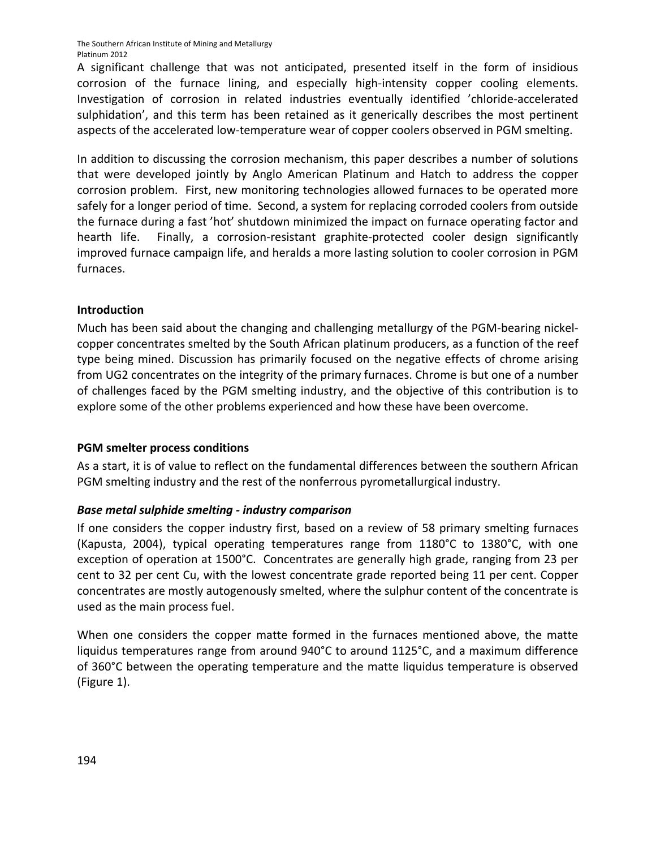A significant challenge that was not anticipated, presented itself in the form of insidious corrosion of the furnace lining, and especially high-intensity copper cooling elements. Investigation of corrosion in related industries eventually identified 'chloride‐accelerated sulphidation', and this term has been retained as it generically describes the most pertinent aspects of the accelerated low-temperature wear of copper coolers observed in PGM smelting.

In addition to discussing the corrosion mechanism, this paper describes a number of solutions that were developed jointly by Anglo American Platinum and Hatch to address the copper corrosion problem. First, new monitoring technologies allowed furnaces to be operated more safely for a longer period of time. Second, a system for replacing corroded coolers from outside the furnace during a fast 'hot' shutdown minimized the impact on furnace operating factor and hearth life. Finally, a corrosion-resistant graphite-protected cooler design significantly improved furnace campaign life, and heralds a more lasting solution to cooler corrosion in PGM furnaces.

### **Introduction**

Much has been said about the changing and challenging metallurgy of the PGM‐bearing nickel‐ copper concentrates smelted by the South African platinum producers, as a function of the reef type being mined. Discussion has primarily focused on the negative effects of chrome arising from UG2 concentrates on the integrity of the primary furnaces. Chrome is but one of a number of challenges faced by the PGM smelting industry, and the objective of this contribution is to explore some of the other problems experienced and how these have been overcome.

#### **PGM smelter process conditions**

As a start, it is of value to reflect on the fundamental differences between the southern African PGM smelting industry and the rest of the nonferrous pyrometallurgical industry.

## *Base metal sulphide smelting ‐ industry comparison*

If one considers the copper industry first, based on a review of 58 primary smelting furnaces (Kapusta, 2004), typical operating temperatures range from 1180°C to 1380°C, with one exception of operation at 1500°C. Concentrates are generally high grade, ranging from 23 per cent to 32 per cent Cu, with the lowest concentrate grade reported being 11 per cent. Copper concentrates are mostly autogenously smelted, where the sulphur content of the concentrate is used as the main process fuel.

When one considers the copper matte formed in the furnaces mentioned above, the matte liquidus temperatures range from around 940°C to around 1125°C, and a maximum difference of 360°C between the operating temperature and the matte liquidus temperature is observed (Figure 1).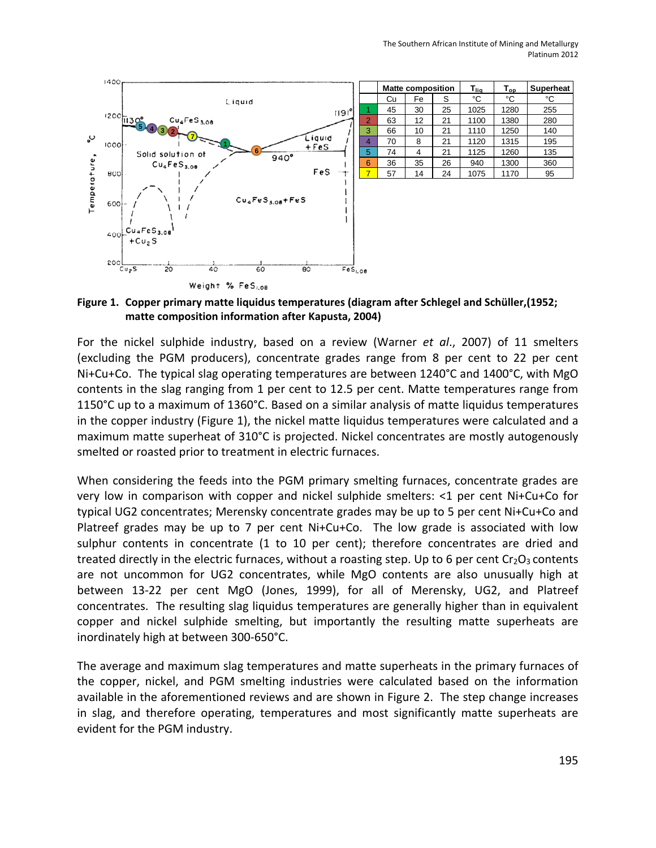

|                | <b>Matte composition</b> |    |    | $\mathsf{T}_{\mathsf{op}}$<br>T <sub>lia</sub> |      | <b>Superheat</b> |  |
|----------------|--------------------------|----|----|------------------------------------------------|------|------------------|--|
|                | Cu                       | Fe | S  | °C                                             | °C   | °C               |  |
|                | 45                       | 30 | 25 | 1025                                           | 1280 | 255              |  |
| $\overline{2}$ | 63                       | 12 | 21 | 1100                                           | 1380 | 280              |  |
| 3              | 66                       | 10 | 21 | 1110                                           | 1250 | 140              |  |
| 4              | 70                       | 8  | 21 | 1120                                           | 1315 | 195              |  |
| 5              | 74                       |    | 21 | 1125                                           | 1260 | 135              |  |
| 6              | 36                       | 35 | 26 | 940                                            | 1300 | 360              |  |
|                | 57                       | 14 | 24 | 1075                                           | 1170 | 95               |  |

**Figure 1. Copper primary matte liquidus temperatures (diagram after Schlegel and Schüller,(1952; matte composition information after Kapusta, 2004)**

For the nickel sulphide industry, based on a review (Warner *et al*., 2007) of 11 smelters (excluding the PGM producers), concentrate grades range from 8 per cent to 22 per cent Ni+Cu+Co. The typical slag operating temperatures are between 1240°C and 1400°C, with MgO contents in the slag ranging from 1 per cent to 12.5 per cent. Matte temperatures range from 1150°C up to a maximum of 1360°C. Based on a similar analysis of matte liquidus temperatures in the copper industry (Figure 1), the nickel matte liquidus temperatures were calculated and a maximum matte superheat of 310°C is projected. Nickel concentrates are mostly autogenously smelted or roasted prior to treatment in electric furnaces.

When considering the feeds into the PGM primary smelting furnaces, concentrate grades are very low in comparison with copper and nickel sulphide smelters: <1 per cent Ni+Cu+Co for typical UG2 concentrates; Merensky concentrate grades may be up to 5 per cent Ni+Cu+Co and Platreef grades may be up to 7 per cent  $Ni+Cu+Co$ . The low grade is associated with low sulphur contents in concentrate (1 to 10 per cent); therefore concentrates are dried and treated directly in the electric furnaces, without a roasting step. Up to 6 per cent  $Cr<sub>2</sub>O<sub>3</sub>$  contents are not uncommon for UG2 concentrates, while MgO contents are also unusually high at between 13-22 per cent MgO (Jones, 1999), for all of Merensky, UG2, and Platreef concentrates. The resulting slag liquidus temperatures are generally higher than in equivalent copper and nickel sulphide smelting, but importantly the resulting matte superheats are inordinately high at between 300‐650°C.

The average and maximum slag temperatures and matte superheats in the primary furnaces of the copper, nickel, and PGM smelting industries were calculated based on the information available in the aforementioned reviews and are shown in Figure 2. The step change increases in slag, and therefore operating, temperatures and most significantly matte superheats are evident for the PGM industry.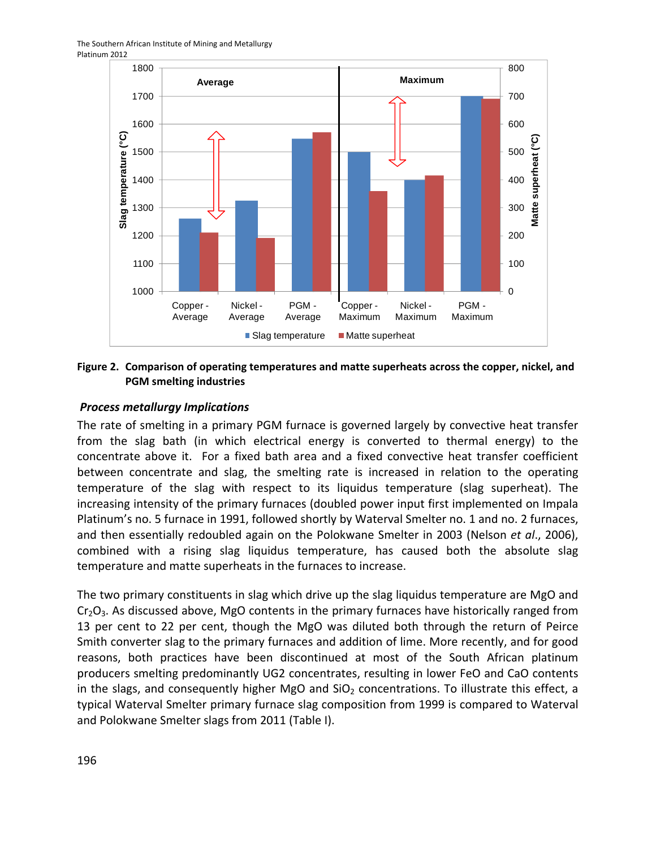The Southern African Institute of Mining and Metallurgy Platinum 2012



#### **Figure 2. Comparison of operating temperatures and matte superheats across the copper, nickel, and PGM smelting industries**

#### *Process metallurgy Implications*

The rate of smelting in a primary PGM furnace is governed largely by convective heat transfer from the slag bath (in which electrical energy is converted to thermal energy) to the concentrate above it. For a fixed bath area and a fixed convective heat transfer coefficient between concentrate and slag, the smelting rate is increased in relation to the operating temperature of the slag with respect to its liquidus temperature (slag superheat). The increasing intensity of the primary furnaces (doubled power input first implemented on Impala Platinum's no. 5 furnace in 1991, followed shortly by Waterval Smelter no. 1 and no. 2 furnaces, and then essentially redoubled again on the Polokwane Smelter in 2003 (Nelson *et al*., 2006), combined with a rising slag liquidus temperature, has caused both the absolute slag temperature and matte superheats in the furnaces to increase.

The two primary constituents in slag which drive up the slag liquidus temperature are MgO and  $Cr<sub>2</sub>O<sub>3</sub>$ . As discussed above, MgO contents in the primary furnaces have historically ranged from 13 per cent to 22 per cent, though the MgO was diluted both through the return of Peirce Smith converter slag to the primary furnaces and addition of lime. More recently, and for good reasons, both practices have been discontinued at most of the South African platinum producers smelting predominantly UG2 concentrates, resulting in lower FeO and CaO contents in the slags, and consequently higher MgO and  $SiO<sub>2</sub>$  concentrations. To illustrate this effect, a typical Waterval Smelter primary furnace slag composition from 1999 is compared to Waterval and Polokwane Smelter slags from 2011 (Table I).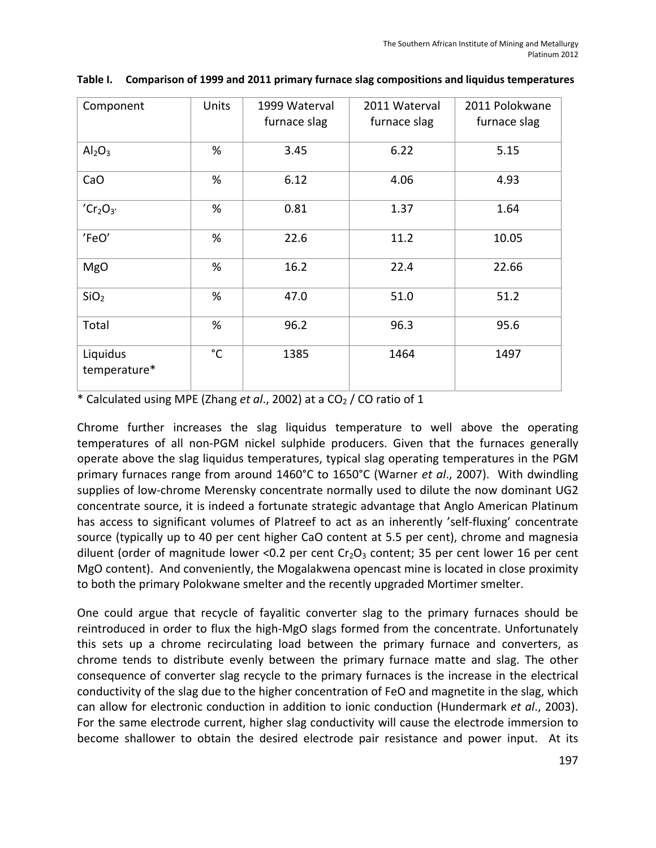| Component                        | Units        | 1999 Waterval<br>furnace slag | 2011 Waterval<br>furnace slag | 2011 Polokwane<br>furnace slag |  |
|----------------------------------|--------------|-------------------------------|-------------------------------|--------------------------------|--|
| Al <sub>2</sub> O <sub>3</sub>   | %            | 3.45                          | 6.22                          | 5.15                           |  |
| CaO                              | %            | 6.12                          | 4.06                          | 4.93                           |  |
| 'Cr <sub>2</sub> O <sub>3'</sub> | %            | 0.81                          | 1.37                          | 1.64                           |  |
| 'FeO'                            | %            | 22.6                          | 11.2                          | 10.05                          |  |
| <b>MgO</b>                       | %            | 16.2                          | 22.4                          | 22.66                          |  |
| SiO <sub>2</sub>                 | %            | 47.0                          | 51.0                          | 51.2                           |  |
| Total                            | %            | 96.2                          | 96.3                          | 95.6                           |  |
| Liquidus<br>temperature*         | $^{\circ}$ C | 1385                          | 1464                          | 1497                           |  |

#### **Table I. Comparison of 1999 and 2011 primary furnace slag compositions and liquidus temperatures**

\* Calculated using MPE (Zhang *et al*., 2002) at a CO2 / CO ratio of 1

Chrome further increases the slag liquidus temperature to well above the operating temperatures of all non‐PGM nickel sulphide producers. Given that the furnaces generally operate above the slag liquidus temperatures, typical slag operating temperatures in the PGM primary furnaces range from around 1460°C to 1650°C (Warner *et al*., 2007). With dwindling supplies of low-chrome Merensky concentrate normally used to dilute the now dominant UG2 concentrate source, it is indeed a fortunate strategic advantage that Anglo American Platinum has access to significant volumes of Platreef to act as an inherently 'self-fluxing' concentrate source (typically up to 40 per cent higher CaO content at 5.5 per cent), chrome and magnesia diluent (order of magnitude lower <0.2 per cent  $Cr<sub>2</sub>O<sub>3</sub>$  content; 35 per cent lower 16 per cent MgO content). And conveniently, the Mogalakwena opencast mine is located in close proximity to both the primary Polokwane smelter and the recently upgraded Mortimer smelter.

One could argue that recycle of fayalitic converter slag to the primary furnaces should be reintroduced in order to flux the high-MgO slags formed from the concentrate. Unfortunately this sets up a chrome recirculating load between the primary furnace and converters, as chrome tends to distribute evenly between the primary furnace matte and slag. The other consequence of converter slag recycle to the primary furnaces is the increase in the electrical conductivity of the slag due to the higher concentration of FeO and magnetite in the slag, which can allow for electronic conduction in addition to ionic conduction (Hundermark *et al*., 2003). For the same electrode current, higher slag conductivity will cause the electrode immersion to become shallower to obtain the desired electrode pair resistance and power input. At its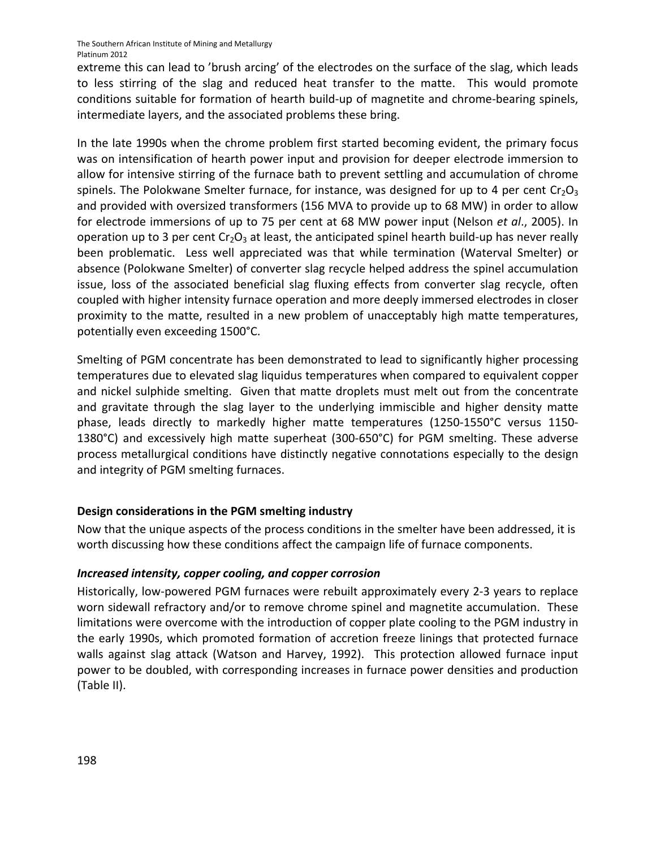extreme this can lead to 'brush arcing' of the electrodes on the surface of the slag, which leads to less stirring of the slag and reduced heat transfer to the matte. This would promote conditions suitable for formation of hearth build‐up of magnetite and chrome‐bearing spinels, intermediate layers, and the associated problems these bring.

In the late 1990s when the chrome problem first started becoming evident, the primary focus was on intensification of hearth power input and provision for deeper electrode immersion to allow for intensive stirring of the furnace bath to prevent settling and accumulation of chrome spinels. The Polokwane Smelter furnace, for instance, was designed for up to 4 per cent  $Cr_2O_3$ and provided with oversized transformers (156 MVA to provide up to 68 MW) in order to allow for electrode immersions of up to 75 per cent at 68 MW power input (Nelson *et al*., 2005). In operation up to 3 per cent  $Cr_2O_3$  at least, the anticipated spinel hearth build-up has never really been problematic. Less well appreciated was that while termination (Waterval Smelter) or absence (Polokwane Smelter) of converter slag recycle helped address the spinel accumulation issue, loss of the associated beneficial slag fluxing effects from converter slag recycle, often coupled with higher intensity furnace operation and more deeply immersed electrodes in closer proximity to the matte, resulted in a new problem of unacceptably high matte temperatures, potentially even exceeding 1500°C.

Smelting of PGM concentrate has been demonstrated to lead to significantly higher processing temperatures due to elevated slag liquidus temperatures when compared to equivalent copper and nickel sulphide smelting. Given that matte droplets must melt out from the concentrate and gravitate through the slag layer to the underlying immiscible and higher density matte phase, leads directly to markedly higher matte temperatures (1250‐1550°C versus 1150‐ 1380°C) and excessively high matte superheat (300‐650°C) for PGM smelting. These adverse process metallurgical conditions have distinctly negative connotations especially to the design and integrity of PGM smelting furnaces.

## **Design considerations in the PGM smelting industry**

Now that the unique aspects of the process conditions in the smelter have been addressed, it is worth discussing how these conditions affect the campaign life of furnace components.

#### *Increased intensity, copper cooling, and copper corrosion*

Historically, low‐powered PGM furnaces were rebuilt approximately every 2‐3 years to replace worn sidewall refractory and/or to remove chrome spinel and magnetite accumulation. These limitations were overcome with the introduction of copper plate cooling to the PGM industry in the early 1990s, which promoted formation of accretion freeze linings that protected furnace walls against slag attack (Watson and Harvey, 1992). This protection allowed furnace input power to be doubled, with corresponding increases in furnace power densities and production (Table II).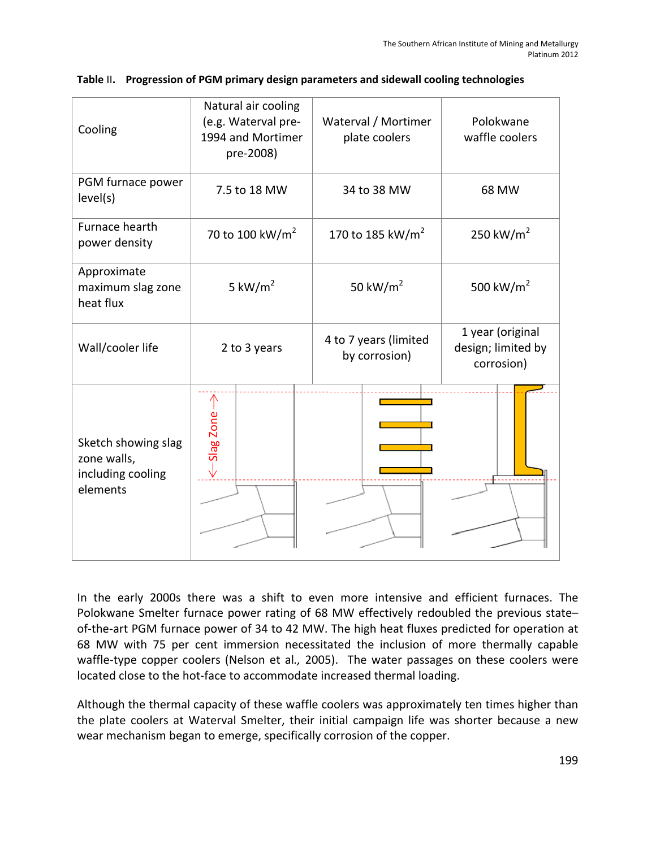| Cooling                                                                                                                                                                                                                                                                                                                                                                                                                                                                                                                                                                                                                               | Natural air cooling<br>(e.g. Waterval pre-<br>1994 and Mortimer<br>pre-2008) | Waterval / Mortimer<br>plate coolers   | Polokwane<br>waffle coolers                          |  |  |  |
|---------------------------------------------------------------------------------------------------------------------------------------------------------------------------------------------------------------------------------------------------------------------------------------------------------------------------------------------------------------------------------------------------------------------------------------------------------------------------------------------------------------------------------------------------------------------------------------------------------------------------------------|------------------------------------------------------------------------------|----------------------------------------|------------------------------------------------------|--|--|--|
| PGM furnace power<br>level(s)                                                                                                                                                                                                                                                                                                                                                                                                                                                                                                                                                                                                         | 7.5 to 18 MW                                                                 | 34 to 38 MW                            | 68 MW                                                |  |  |  |
| Furnace hearth<br>power density                                                                                                                                                                                                                                                                                                                                                                                                                                                                                                                                                                                                       | 70 to 100 kW/m <sup>2</sup>                                                  | 170 to 185 kW/m <sup>2</sup>           | 250 kW/ $m2$                                         |  |  |  |
| Approximate<br>maximum slag zone<br>heat flux                                                                                                                                                                                                                                                                                                                                                                                                                                                                                                                                                                                         | 5 kW/ $m2$                                                                   | 50 kW/ $m2$                            | 500 kW/ $m2$                                         |  |  |  |
| Wall/cooler life                                                                                                                                                                                                                                                                                                                                                                                                                                                                                                                                                                                                                      | 2 to 3 years                                                                 | 4 to 7 years (limited<br>by corrosion) | 1 year (original<br>design; limited by<br>corrosion) |  |  |  |
| Sketch showing slag<br>zone walls,<br>including cooling<br>elements                                                                                                                                                                                                                                                                                                                                                                                                                                                                                                                                                                   | Slag Zone                                                                    |                                        |                                                      |  |  |  |
| In the early 2000s there was a shift to even more intensive and efficient furnaces.<br>Polokwane Smelter furnace power rating of 68 MW effectively redoubled the previous sta<br>of-the-art PGM furnace power of 34 to 42 MW. The high heat fluxes predicted for operation<br>68 MW with 75 per cent immersion necessitated the inclusion of more thermally capa<br>waffle-type copper coolers (Nelson et al., 2005). The water passages on these coolers w<br>located close to the hot-face to accommodate increased thermal loading.<br>Although the thermal capacity of these waffle coolers was approximately ten times higher to |                                                                              |                                        |                                                      |  |  |  |
| the plate coolers at Waterval Smelter, their initial campaign life was shorter because a r<br>wear mechanism began to emerge, specifically corrosion of the copper.                                                                                                                                                                                                                                                                                                                                                                                                                                                                   |                                                                              |                                        |                                                      |  |  |  |

#### **Table** II**. Progression of PGM primary design parameters and sidewall cooling technologies**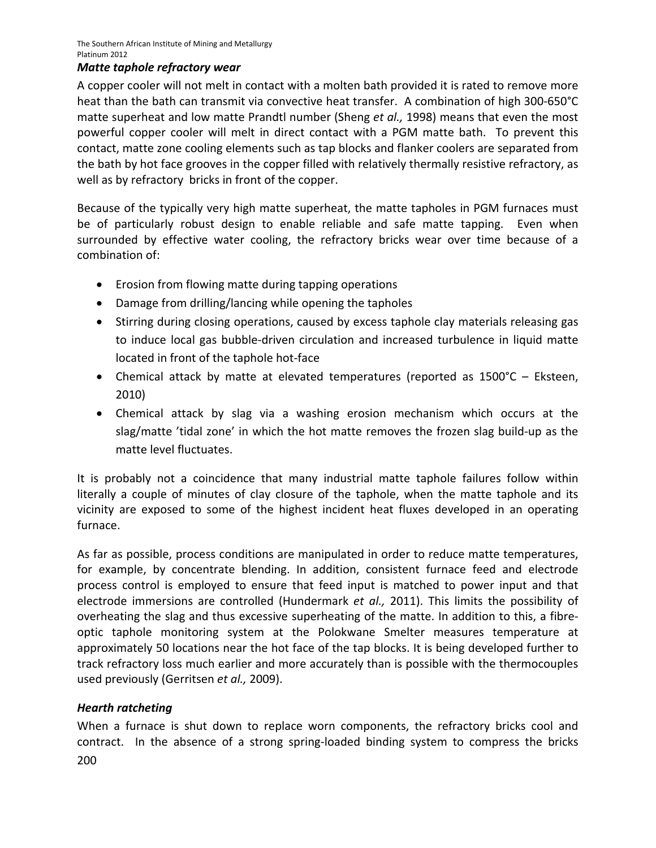### *Matte taphole refractory wear*

A copper cooler will not melt in contact with a molten bath provided it is rated to remove more heat than the bath can transmit via convective heat transfer. A combination of high 300-650°C matte superheat and low matte Prandtl number (Sheng *et al.,* 1998) means that even the most powerful copper cooler will melt in direct contact with a PGM matte bath. To prevent this contact, matte zone cooling elements such as tap blocks and flanker coolers are separated from the bath by hot face grooves in the copper filled with relatively thermally resistive refractory, as well as by refractory bricks in front of the copper.

Because of the typically very high matte superheat, the matte tapholes in PGM furnaces must be of particularly robust design to enable reliable and safe matte tapping. Even when surrounded by effective water cooling, the refractory bricks wear over time because of a combination of:

- Erosion from flowing matte during tapping operations
- Damage from drilling/lancing while opening the tapholes
- Stirring during closing operations, caused by excess taphole clay materials releasing gas to induce local gas bubble‐driven circulation and increased turbulence in liquid matte located in front of the taphole hot‐face
- Chemical attack by matte at elevated temperatures (reported as 1500°C Eksteen, 2010)
- Chemical attack by slag via a washing erosion mechanism which occurs at the slag/matte 'tidal zone' in which the hot matte removes the frozen slag build-up as the matte level fluctuates.

It is probably not a coincidence that many industrial matte taphole failures follow within literally a couple of minutes of clay closure of the taphole, when the matte taphole and its vicinity are exposed to some of the highest incident heat fluxes developed in an operating furnace.

As far as possible, process conditions are manipulated in order to reduce matte temperatures, for example, by concentrate blending. In addition, consistent furnace feed and electrode process control is employed to ensure that feed input is matched to power input and that electrode immersions are controlled (Hundermark *et al.,* 2011). This limits the possibility of overheating the slag and thus excessive superheating of the matte. In addition to this, a fibre‐ optic taphole monitoring system at the Polokwane Smelter measures temperature at approximately 50 locations near the hot face of the tap blocks. It is being developed further to track refractory loss much earlier and more accurately than is possible with the thermocouples used previously (Gerritsen *et al.,* 2009).

## *Hearth ratcheting*

200 When a furnace is shut down to replace worn components, the refractory bricks cool and contract. In the absence of a strong spring-loaded binding system to compress the bricks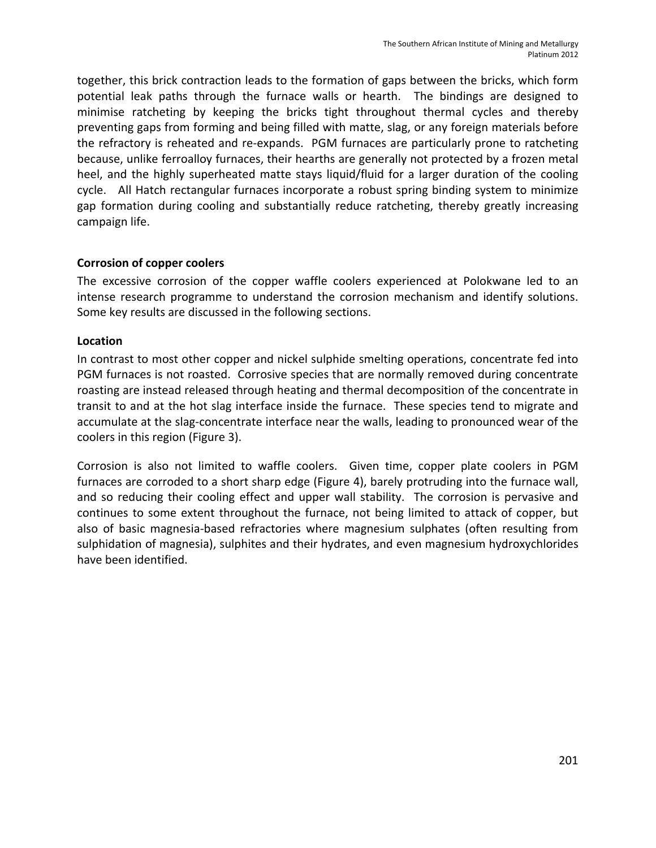together, this brick contraction leads to the formation of gaps between the bricks, which form potential leak paths through the furnace walls or hearth. The bindings are designed to minimise ratcheting by keeping the bricks tight throughout thermal cycles and thereby preventing gaps from forming and being filled with matte, slag, or any foreign materials before the refractory is reheated and re‐expands. PGM furnaces are particularly prone to ratcheting because, unlike ferroalloy furnaces, their hearths are generally not protected by a frozen metal heel, and the highly superheated matte stays liquid/fluid for a larger duration of the cooling cycle. All Hatch rectangular furnaces incorporate a robust spring binding system to minimize gap formation during cooling and substantially reduce ratcheting, thereby greatly increasing campaign life.

## **Corrosion of copper coolers**

The excessive corrosion of the copper waffle coolers experienced at Polokwane led to an intense research programme to understand the corrosion mechanism and identify solutions. Some key results are discussed in the following sections.

## **Location**

In contrast to most other copper and nickel sulphide smelting operations, concentrate fed into PGM furnaces is not roasted. Corrosive species that are normally removed during concentrate roasting are instead released through heating and thermal decomposition of the concentrate in transit to and at the hot slag interface inside the furnace. These species tend to migrate and accumulate at the slag‐concentrate interface near the walls, leading to pronounced wear of the coolers in this region (Figure 3).

Corrosion is also not limited to waffle coolers. Given time, copper plate coolers in PGM furnaces are corroded to a short sharp edge (Figure 4), barely protruding into the furnace wall, and so reducing their cooling effect and upper wall stability. The corrosion is pervasive and continues to some extent throughout the furnace, not being limited to attack of copper, but also of basic magnesia‐based refractories where magnesium sulphates (often resulting from sulphidation of magnesia), sulphites and their hydrates, and even magnesium hydroxychlorides have been identified.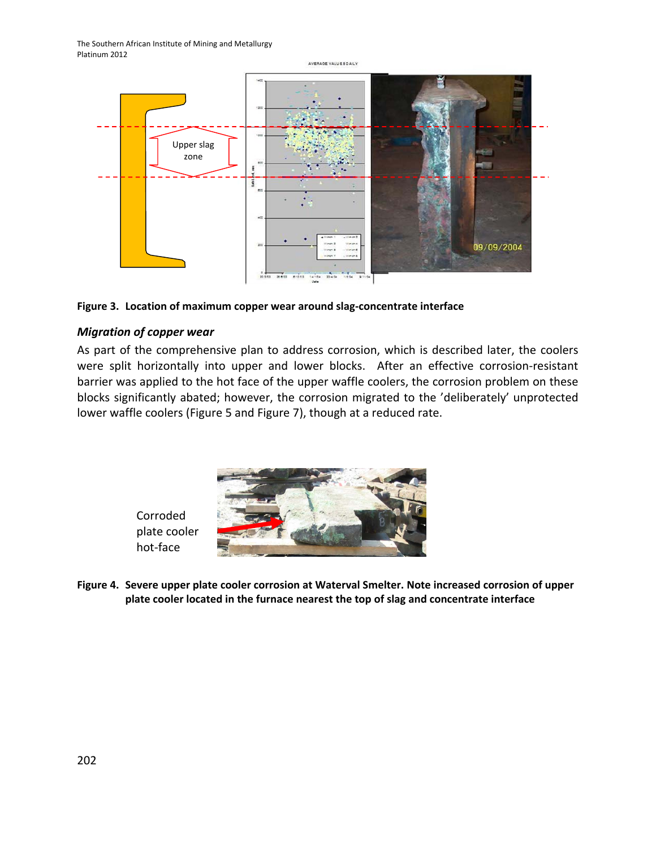

**Figure 3. Location of maximum copper wear around slag‐concentrate interface**

## *Migration of copper wear*

As part of the comprehensive plan to address corrosion, which is described later, the coolers were split horizontally into upper and lower blocks. After an effective corrosion-resistant barrier was applied to the hot face of the upper waffle coolers, the corrosion problem on these blocks significantly abated; however, the corrosion migrated to the 'deliberately' unprotected lower waffle coolers (Figure 5 and Figure 7), though at a reduced rate.



Corroded plate cooler hot‐face

**Figure 4. Severe upper plate cooler corrosion at Waterval Smelter. Note increased corrosion of upper plate cooler located in the furnace nearest the top of slag and concentrate interface**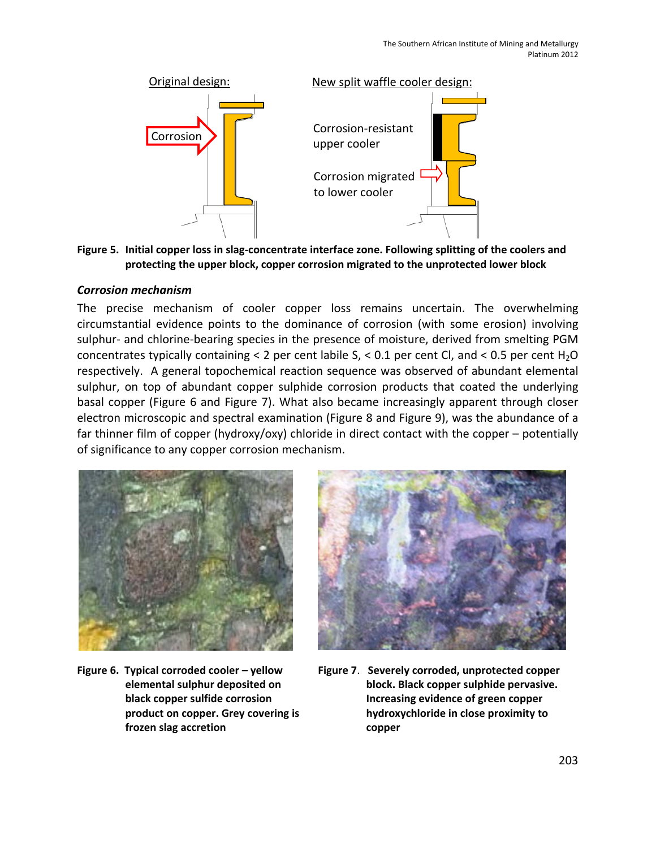

**Figure 5. Initial copper loss in slag‐concentrate interface zone. Following splitting of the coolers and protecting the upper block, copper corrosion migrated to the unprotected lower block**

#### *Corrosion mechanism*

The precise mechanism of cooler copper loss remains uncertain. The overwhelming circumstantial evidence points to the dominance of corrosion (with some erosion) involving sulphur- and chlorine-bearing species in the presence of moisture, derived from smelting PGM concentrates typically containing < 2 per cent labile  $S$ , < 0.1 per cent Cl, and < 0.5 per cent H<sub>2</sub>O respectively. A general topochemical reaction sequence was observed of abundant elemental sulphur, on top of abundant copper sulphide corrosion products that coated the underlying basal copper (Figure 6 and Figure 7). What also became increasingly apparent through closer electron microscopic and spectral examination (Figure 8 and Figure 9), was the abundance of a far thinner film of copper (hydroxy/oxy) chloride in direct contact with the copper – potentially of significance to any copper corrosion mechanism.



**Figure 6. Typical corroded cooler – yellow elemental sulphur deposited on black copper sulfide corrosion product on copper. Grey covering is frozen slag accretion**



**Figure 7**. **Severely corroded, unprotected copper block. Black copper sulphide pervasive. Increasing evidence of green copper hydroxychloride in close proximity to copper**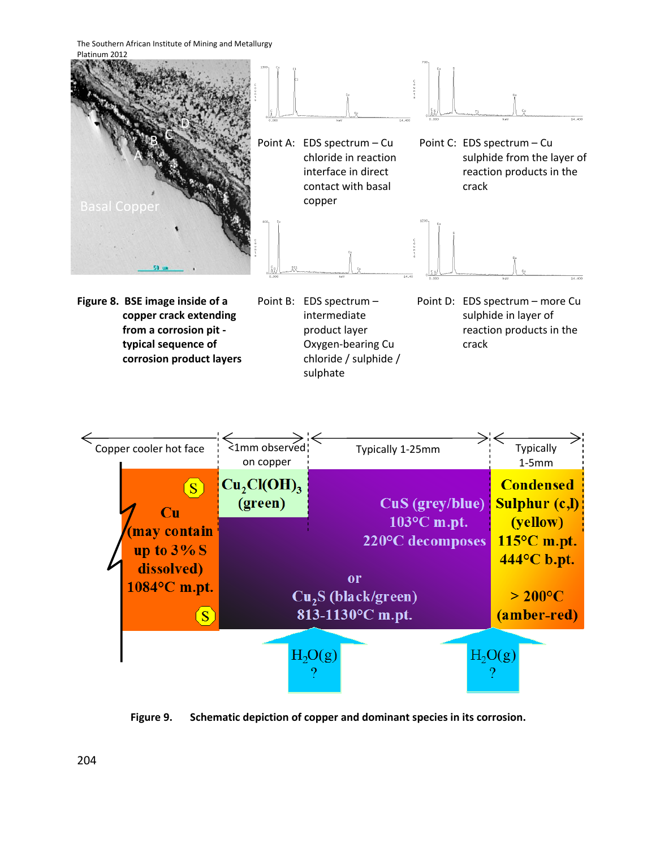The Southern African Institute of Mining and Metallurgy



**from a corrosion pit ‐ typical sequence of corrosion product layers**

- product layer Oxygen‐bearing Cu chloride / sulphide / sulphate
- reaction products in the crack



**Figure 9. Schematic depiction of copper and dominant species in its corrosion.**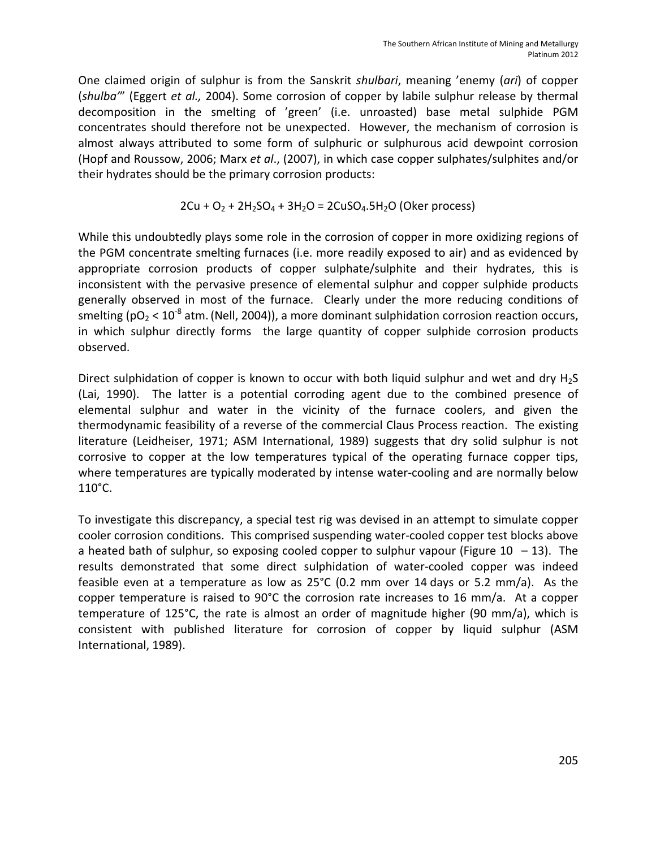One claimed origin of sulphur is from the Sanskrit *shulbari*, meaning 'enemy (*ari*) of copper (*shulba'*" (Eggert *et al.,* 2004). Some corrosion of copper by labile sulphur release by thermal decomposition in the smelting of 'green' (i.e. unroasted) base metal sulphide PGM concentrates should therefore not be unexpected. However, the mechanism of corrosion is almost always attributed to some form of sulphuric or sulphurous acid dewpoint corrosion (Hopf and Roussow, 2006; Marx *et al*., (2007), in which case copper sulphates/sulphites and/or their hydrates should be the primary corrosion products:

$$
2Cu + O_2 + 2H_2SO_4 + 3H_2O = 2CuSO_4.5H_2O
$$
 (Oker process)

While this undoubtedly plays some role in the corrosion of copper in more oxidizing regions of the PGM concentrate smelting furnaces (i.e. more readily exposed to air) and as evidenced by appropriate corrosion products of copper sulphate/sulphite and their hydrates, this is inconsistent with the pervasive presence of elemental sulphur and copper sulphide products generally observed in most of the furnace. Clearly under the more reducing conditions of smelting ( $pO<sub>2</sub> < 10<sup>-8</sup>$  atm. (Nell, 2004)), a more dominant sulphidation corrosion reaction occurs, in which sulphur directly forms the large quantity of copper sulphide corrosion products observed.

Direct sulphidation of copper is known to occur with both liquid sulphur and wet and dry H<sub>2</sub>S (Lai, 1990). The latter is a potential corroding agent due to the combined presence of elemental sulphur and water in the vicinity of the furnace coolers, and given the thermodynamic feasibility of a reverse of the commercial Claus Process reaction. The existing literature (Leidheiser, 1971; ASM International, 1989) suggests that dry solid sulphur is not corrosive to copper at the low temperatures typical of the operating furnace copper tips, where temperatures are typically moderated by intense water-cooling and are normally below 110°C.

To investigate this discrepancy, a special test rig was devised in an attempt to simulate copper cooler corrosion conditions. This comprised suspending water‐cooled copper test blocks above a heated bath of sulphur, so exposing cooled copper to sulphur vapour (Figure 10 – 13). The results demonstrated that some direct sulphidation of water-cooled copper was indeed feasible even at a temperature as low as 25°C (0.2 mm over 14 days or 5.2 mm/a). As the copper temperature is raised to 90°C the corrosion rate increases to 16 mm/a. At a copper temperature of 125°C, the rate is almost an order of magnitude higher (90 mm/a), which is consistent with published literature for corrosion of copper by liquid sulphur (ASM International, 1989).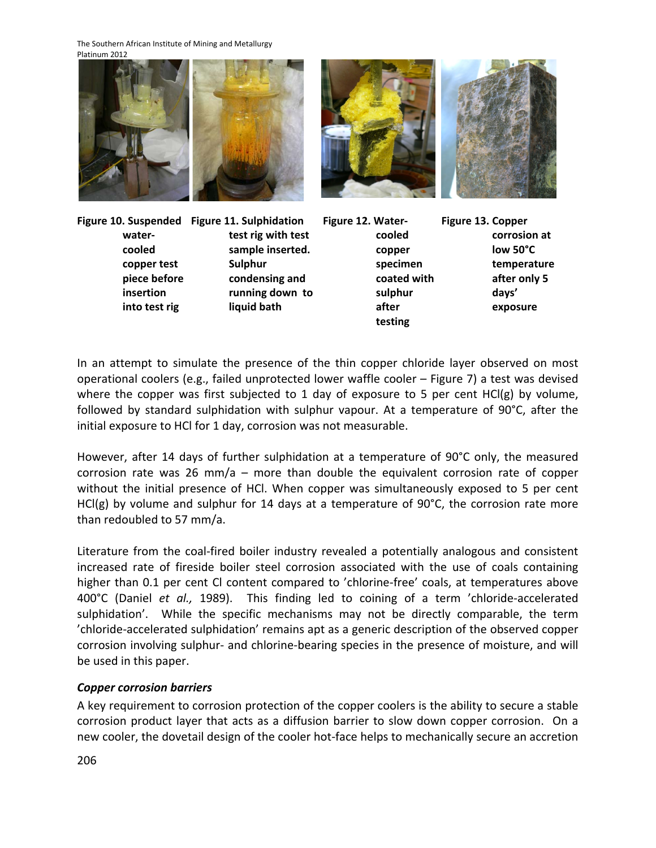The Southern African Institute of Mining and Metallurgy Platinum 2012



**Figure 10. Suspended Figure 11. Sulphidation water‐ cooled copper test piece before insertion into test rig**

**test rig with test sample inserted. Sulphur condensing and running down to liquid bath**

- **Figure 12. Water‐ cooled copper specimen coated with sulphur after testing**
- **Figure 13. Copper corrosion at low 50°C temperature after only 5 days' exposure**

In an attempt to simulate the presence of the thin copper chloride layer observed on most operational coolers (e.g., failed unprotected lower waffle cooler – Figure 7) a test was devised where the copper was first subjected to 1 day of exposure to 5 per cent HCl(g) by volume, followed by standard sulphidation with sulphur vapour. At a temperature of 90°C, after the initial exposure to HCl for 1 day, corrosion was not measurable.

However, after 14 days of further sulphidation at a temperature of 90°C only, the measured corrosion rate was 26 mm/a – more than double the equivalent corrosion rate of copper without the initial presence of HCl. When copper was simultaneously exposed to 5 per cent HCl(g) by volume and sulphur for 14 days at a temperature of 90°C, the corrosion rate more than redoubled to 57 mm/a.

Literature from the coal‐fired boiler industry revealed a potentially analogous and consistent increased rate of fireside boiler steel corrosion associated with the use of coals containing higher than 0.1 per cent CI content compared to 'chlorine-free' coals, at temperatures above 400°C (Daniel *et al.,* 1989). This finding led to coining of a term 'chloride‐accelerated sulphidation'. While the specific mechanisms may not be directly comparable, the term 'chloride‐accelerated sulphidation' remains apt as a generic description of the observed copper corrosion involving sulphur‐ and chlorine‐bearing species in the presence of moisture, and will be used in this paper.

# *Copper corrosion barriers*

A key requirement to corrosion protection of the copper coolers is the ability to secure a stable corrosion product layer that acts as a diffusion barrier to slow down copper corrosion. On a new cooler, the dovetail design of the cooler hot‐face helps to mechanically secure an accretion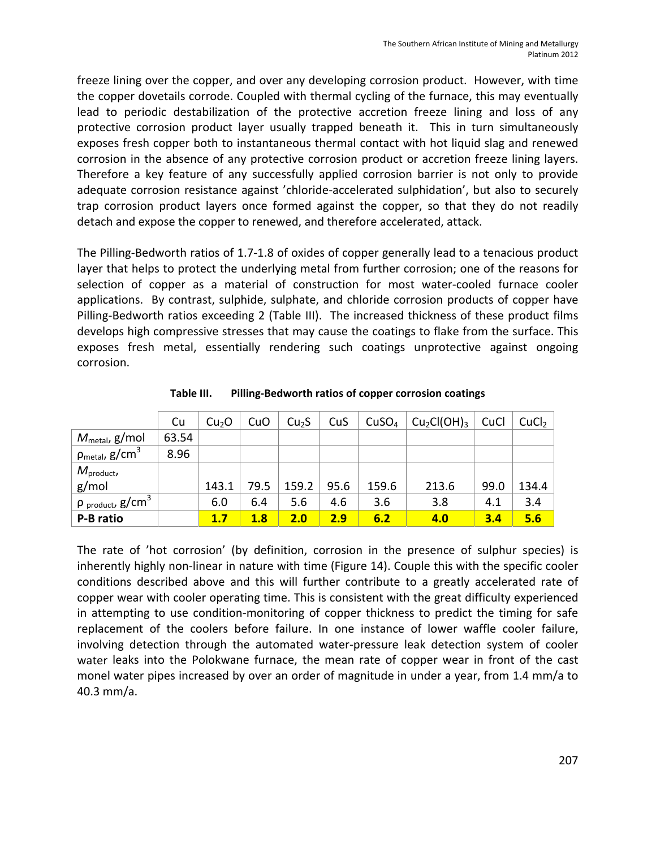freeze lining over the copper, and over any developing corrosion product. However, with time the copper dovetails corrode. Coupled with thermal cycling of the furnace, this may eventually lead to periodic destabilization of the protective accretion freeze lining and loss of any protective corrosion product layer usually trapped beneath it. This in turn simultaneously exposes fresh copper both to instantaneous thermal contact with hot liquid slag and renewed corrosion in the absence of any protective corrosion product or accretion freeze lining layers. Therefore a key feature of any successfully applied corrosion barrier is not only to provide adequate corrosion resistance against 'chloride‐accelerated sulphidation', but also to securely trap corrosion product layers once formed against the copper, so that they do not readily detach and expose the copper to renewed, and therefore accelerated, attack.

The Pilling‐Bedworth ratios of 1.7‐1.8 of oxides of copper generally lead to a tenacious product layer that helps to protect the underlying metal from further corrosion; one of the reasons for selection of copper as a material of construction for most water-cooled furnace cooler applications. By contrast, sulphide, sulphate, and chloride corrosion products of copper have Pilling‐Bedworth ratios exceeding 2 (Table III). The increased thickness of these product films develops high compressive stresses that may cause the coatings to flake from the surface. This exposes fresh metal, essentially rendering such coatings unprotective against ongoing corrosion.

|                                            | Cu    | Cu <sub>2</sub> O | CuO  | Cu <sub>2</sub> S | CuS  | CuSO <sub>4</sub> | Cu <sub>2</sub> Cl(OH) <sub>3</sub> | CuCl | CuCl <sub>2</sub> |
|--------------------------------------------|-------|-------------------|------|-------------------|------|-------------------|-------------------------------------|------|-------------------|
| $M_{\text{metal}}$ , g/mol                 | 63.54 |                   |      |                   |      |                   |                                     |      |                   |
| $\rho_{\sf metal}$ , g/cm <sup>3</sup>     | 8.96  |                   |      |                   |      |                   |                                     |      |                   |
| $M_{product}$                              |       |                   |      |                   |      |                   |                                     |      |                   |
| g/mol                                      |       | 143.1             | 79.5 | 159.2             | 95.6 | 159.6             | 213.6                               | 99.0 | 134.4             |
| $\frac{1}{2}$ p product, g/cm <sup>3</sup> |       | 6.0               | 6.4  | 5.6               | 4.6  | 3.6               | 3.8                                 | 4.1  | 3.4               |
| P-B ratio                                  |       | 1.7               | 1.8  | 2.0               | 2.9  | 6.2               | 4.0                                 | 3.4  | 5.6               |

**Table III. Pilling‐Bedworth ratios of copper corrosion coatings**

The rate of 'hot corrosion' (by definition, corrosion in the presence of sulphur species) is inherently highly non-linear in nature with time (Figure 14). Couple this with the specific cooler conditions described above and this will further contribute to a greatly accelerated rate of copper wear with cooler operating time. This is consistent with the great difficulty experienced in attempting to use condition‐monitoring of copper thickness to predict the timing for safe replacement of the coolers before failure. In one instance of lower waffle cooler failure, involving detection through the automated water‐pressure leak detection system of cooler water leaks into the Polokwane furnace, the mean rate of copper wear in front of the cast monel water pipes increased by over an order of magnitude in under a year, from 1.4 mm/a to 40.3 mm/a.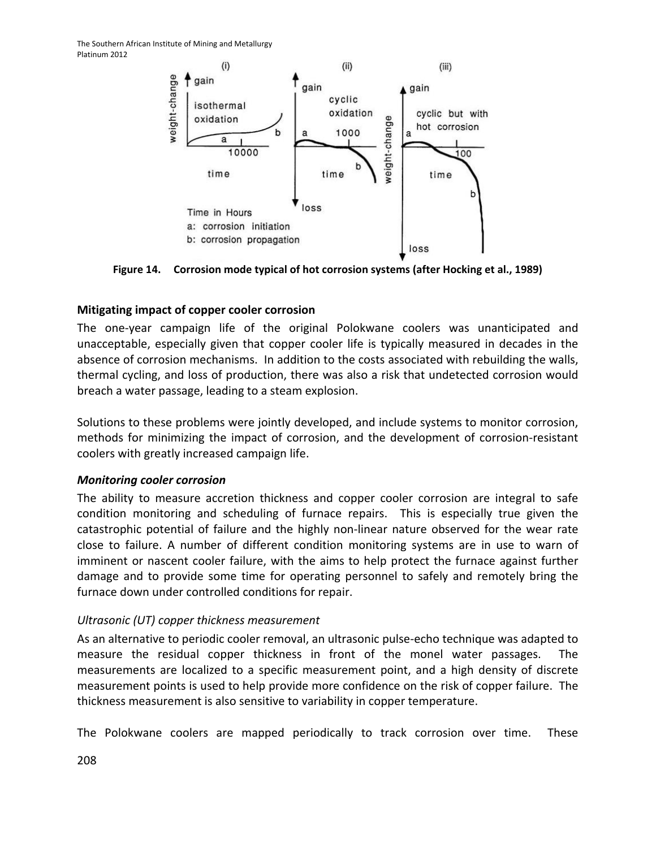

**Figure 14. Corrosion mode typical of hot corrosion systems (after Hocking et al., 1989)**

### **Mitigating impact of copper cooler corrosion**

The one‐year campaign life of the original Polokwane coolers was unanticipated and unacceptable, especially given that copper cooler life is typically measured in decades in the absence of corrosion mechanisms. In addition to the costs associated with rebuilding the walls, thermal cycling, and loss of production, there was also a risk that undetected corrosion would breach a water passage, leading to a steam explosion.

Solutions to these problems were jointly developed, and include systems to monitor corrosion, methods for minimizing the impact of corrosion, and the development of corrosion‐resistant coolers with greatly increased campaign life.

#### *Monitoring cooler corrosion*

The ability to measure accretion thickness and copper cooler corrosion are integral to safe condition monitoring and scheduling of furnace repairs. This is especially true given the catastrophic potential of failure and the highly non‐linear nature observed for the wear rate close to failure. A number of different condition monitoring systems are in use to warn of imminent or nascent cooler failure, with the aims to help protect the furnace against further damage and to provide some time for operating personnel to safely and remotely bring the furnace down under controlled conditions for repair.

## *Ultrasonic (UT) copper thickness measurement*

As an alternative to periodic cooler removal, an ultrasonic pulse‐echo technique was adapted to measure the residual copper thickness in front of the monel water passages. The measurements are localized to a specific measurement point, and a high density of discrete measurement points is used to help provide more confidence on the risk of copper failure. The thickness measurement is also sensitive to variability in copper temperature.

The Polokwane coolers are mapped periodically to track corrosion over time. These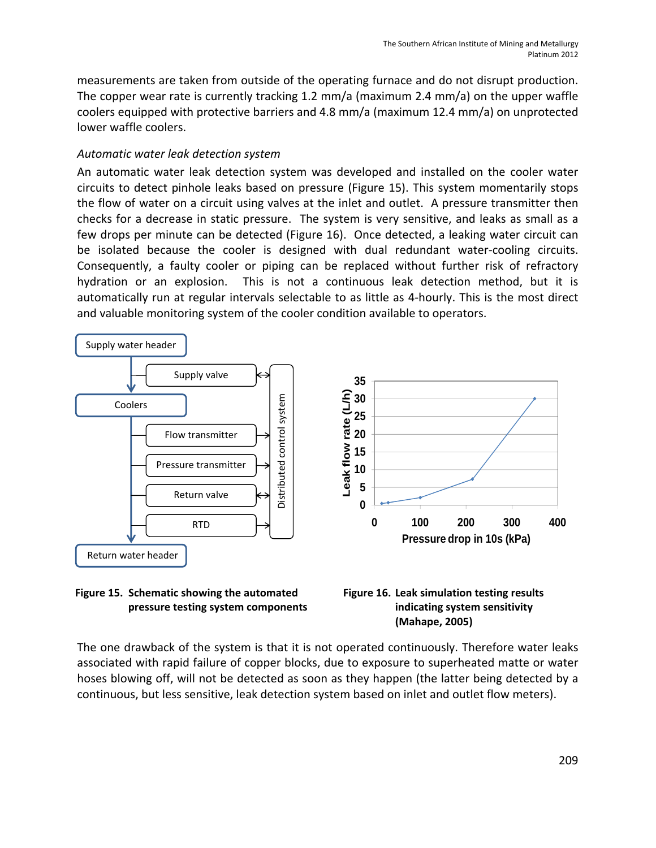measurements are taken from outside of the operating furnace and do not disrupt production. The copper wear rate is currently tracking 1.2 mm/a (maximum 2.4 mm/a) on the upper waffle coolers equipped with protective barriers and 4.8 mm/a (maximum 12.4 mm/a) on unprotected lower waffle coolers.

# *Automatic water leak detection system*

An automatic water leak detection system was developed and installed on the cooler water circuits to detect pinhole leaks based on pressure (Figure 15). This system momentarily stops the flow of water on a circuit using valves at the inlet and outlet. A pressure transmitter then checks for a decrease in static pressure. The system is very sensitive, and leaks as small as a few drops per minute can be detected (Figure 16). Once detected, a leaking water circuit can be isolated because the cooler is designed with dual redundant water-cooling circuits. Consequently, a faulty cooler or piping can be replaced without further risk of refractory hydration or an explosion. This is not a continuous leak detection method, but it is automatically run at regular intervals selectable to as little as 4‐hourly. This is the most direct and valuable monitoring system of the cooler condition available to operators.







The one drawback of the system is that it is not operated continuously. Therefore water leaks associated with rapid failure of copper blocks, due to exposure to superheated matte or water hoses blowing off, will not be detected as soon as they happen (the latter being detected by a continuous, but less sensitive, leak detection system based on inlet and outlet flow meters).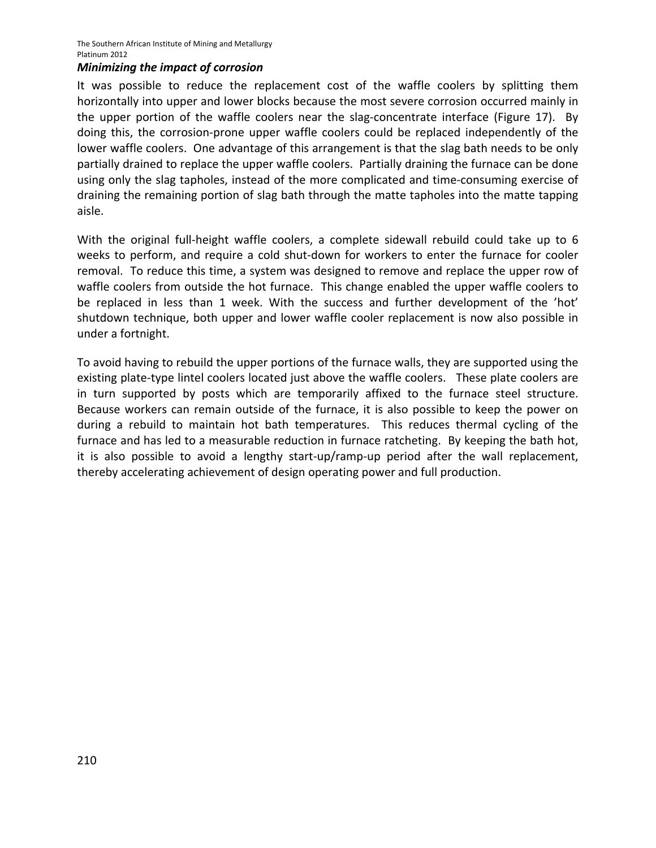#### *Minimizing the impact of corrosion*

It was possible to reduce the replacement cost of the waffle coolers by splitting them horizontally into upper and lower blocks because the most severe corrosion occurred mainly in the upper portion of the waffle coolers near the slag-concentrate interface (Figure 17). By doing this, the corrosion‐prone upper waffle coolers could be replaced independently of the lower waffle coolers. One advantage of this arrangement is that the slag bath needs to be only partially drained to replace the upper waffle coolers. Partially draining the furnace can be done using only the slag tapholes, instead of the more complicated and time-consuming exercise of draining the remaining portion of slag bath through the matte tapholes into the matte tapping aisle.

With the original full-height waffle coolers, a complete sidewall rebuild could take up to 6 weeks to perform, and require a cold shut-down for workers to enter the furnace for cooler removal. To reduce this time, a system was designed to remove and replace the upper row of waffle coolers from outside the hot furnace. This change enabled the upper waffle coolers to be replaced in less than 1 week. With the success and further development of the 'hot' shutdown technique, both upper and lower waffle cooler replacement is now also possible in under a fortnight.

To avoid having to rebuild the upper portions of the furnace walls, they are supported using the existing plate-type lintel coolers located just above the waffle coolers. These plate coolers are in turn supported by posts which are temporarily affixed to the furnace steel structure. Because workers can remain outside of the furnace, it is also possible to keep the power on during a rebuild to maintain hot bath temperatures. This reduces thermal cycling of the furnace and has led to a measurable reduction in furnace ratcheting. By keeping the bath hot, it is also possible to avoid a lengthy start-up/ramp-up period after the wall replacement, thereby accelerating achievement of design operating power and full production.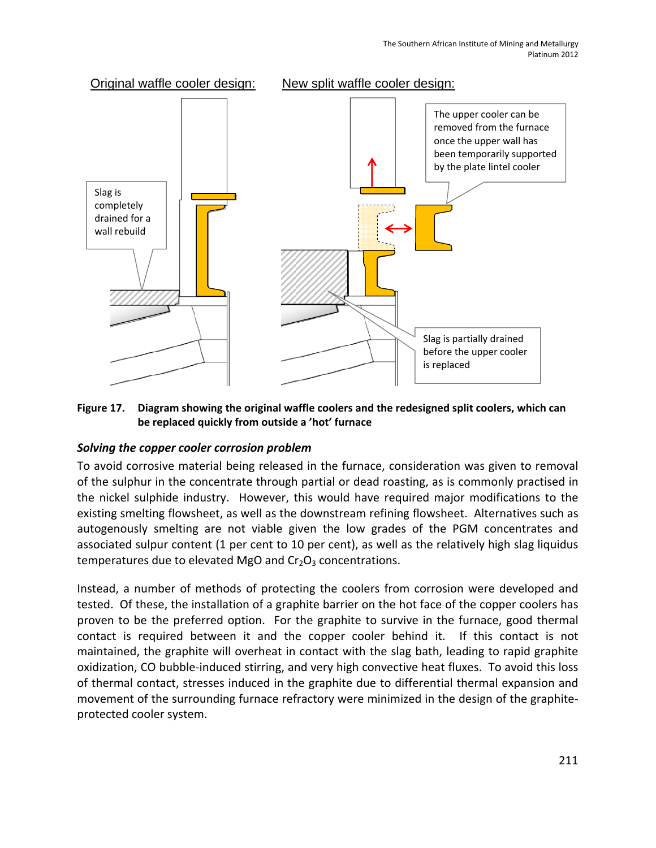

#### **Figure 17. Diagram showing the original waffle coolers and the redesigned split coolers, which can be replaced quickly from outside a 'hot' furnace**

## *Solving the copper cooler corrosion problem*

To avoid corrosive material being released in the furnace, consideration was given to removal of the sulphur in the concentrate through partial or dead roasting, as is commonly practised in the nickel sulphide industry. However, this would have required major modifications to the existing smelting flowsheet, as well as the downstream refining flowsheet. Alternatives such as autogenously smelting are not viable given the low grades of the PGM concentrates and associated sulpur content (1 per cent to 10 per cent), as well as the relatively high slag liquidus temperatures due to elevated MgO and  $Cr<sub>2</sub>O<sub>3</sub>$  concentrations.

Instead, a number of methods of protecting the coolers from corrosion were developed and tested. Of these, the installation of a graphite barrier on the hot face of the copper coolers has proven to be the preferred option. For the graphite to survive in the furnace, good thermal contact is required between it and the copper cooler behind it. If this contact is not maintained, the graphite will overheat in contact with the slag bath, leading to rapid graphite oxidization, CO bubble‐induced stirring, and very high convective heat fluxes. To avoid this loss of thermal contact, stresses induced in the graphite due to differential thermal expansion and movement of the surrounding furnace refractory were minimized in the design of the graphite‐ protected cooler system.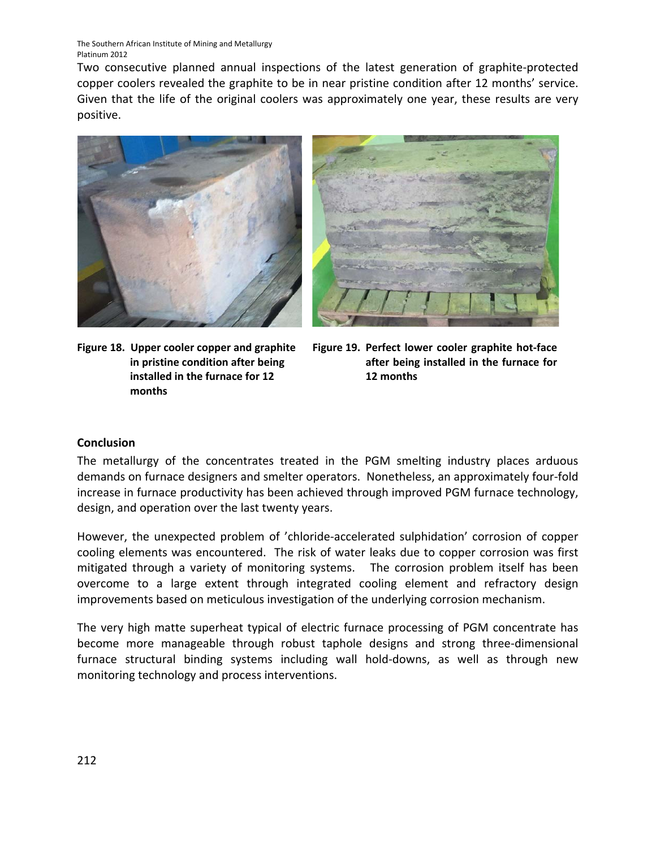Two consecutive planned annual inspections of the latest generation of graphite‐protected copper coolers revealed the graphite to be in near pristine condition after 12 months' service. Given that the life of the original coolers was approximately one year, these results are very positive.



**Figure 18. Upper cooler copper and graphite in pristine condition after being installed in the furnace for 12 months**



**Figure 19. Perfect lower cooler graphite hot‐face after being installed in the furnace for 12 months**

#### **Conclusion**

The metallurgy of the concentrates treated in the PGM smelting industry places arduous demands on furnace designers and smelter operators. Nonetheless, an approximately four‐fold increase in furnace productivity has been achieved through improved PGM furnace technology, design, and operation over the last twenty years.

However, the unexpected problem of 'chloride‐accelerated sulphidation' corrosion of copper cooling elements was encountered. The risk of water leaks due to copper corrosion was first mitigated through a variety of monitoring systems. The corrosion problem itself has been overcome to a large extent through integrated cooling element and refractory design improvements based on meticulous investigation of the underlying corrosion mechanism.

The very high matte superheat typical of electric furnace processing of PGM concentrate has become more manageable through robust taphole designs and strong three-dimensional furnace structural binding systems including wall hold‐downs, as well as through new monitoring technology and process interventions.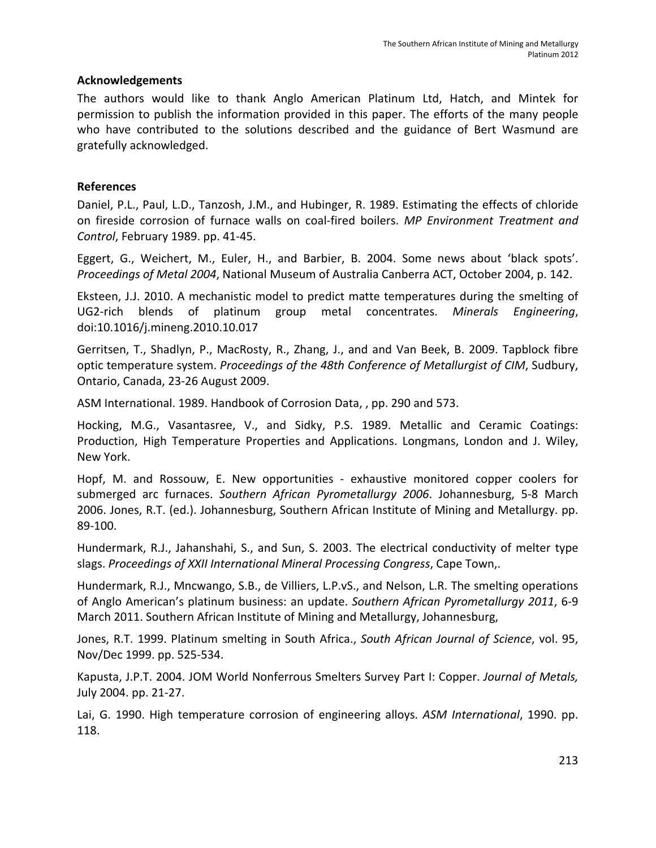#### **Acknowledgements**

The authors would like to thank Anglo American Platinum Ltd, Hatch, and Mintek for permission to publish the information provided in this paper. The efforts of the many people who have contributed to the solutions described and the guidance of Bert Wasmund are gratefully acknowledged.

#### **References**

Daniel, P.L., Paul, L.D., Tanzosh, J.M., and Hubinger, R. 1989. Estimating the effects of chloride on fireside corrosion of furnace walls on coal‐fired boilers. *MP Environment Treatment and Control*, February 1989. pp. 41‐45.

Eggert, G., Weichert, M., Euler, H., and Barbier, B. 2004. Some news about 'black spots'. *Proceedings of Metal 2004*, National Museum of Australia Canberra ACT, October 2004, p. 142.

Eksteen, J.J. 2010. A mechanistic model to predict matte temperatures during the smelting of UG2‐rich blends of platinum group metal concentrates. *Minerals Engineering*, doi:10.1016/j.mineng.2010.10.017

Gerritsen, T., Shadlyn, P., MacRosty, R., Zhang, J., and and Van Beek, B. 2009. Tapblock fibre optic temperature system. *Proceedings of the 48th Conference of Metallurgist of CIM*, Sudbury, Ontario, Canada, 23‐26 August 2009.

ASM International. 1989. Handbook of Corrosion Data, , pp. 290 and 573.

Hocking, M.G., Vasantasree, V., and Sidky, P.S. 1989. Metallic and Ceramic Coatings: Production, High Temperature Properties and Applications. Longmans, London and J. Wiley, New York.

Hopf, M. and Rossouw, E. New opportunities - exhaustive monitored copper coolers for submerged arc furnaces. *Southern African Pyrometallurgy 2006*. Johannesburg, 5‐8 March 2006. Jones, R.T. (ed.). Johannesburg, Southern African Institute of Mining and Metallurgy. pp. 89‐100.

Hundermark, R.J., Jahanshahi, S., and Sun, S. 2003. The electrical conductivity of melter type slags. *Proceedings of XXII International Mineral Processing Congress*, Cape Town,.

Hundermark, R.J., Mncwango, S.B., de Villiers, L.P.vS., and Nelson, L.R. The smelting operations of Anglo American's platinum business: an update. *Southern African Pyrometallurgy 2011*, 6‐9 March 2011. Southern African Institute of Mining and Metallurgy, Johannesburg,

Jones, R.T. 1999. Platinum smelting in South Africa., *South African Journal of Science*, vol. 95, Nov/Dec 1999. pp. 525‐534.

Kapusta, J.P.T. 2004. JOM World Nonferrous Smelters Survey Part I: Copper. *Journal of Metals,* July 2004. pp. 21‐27.

Lai, G. 1990. High temperature corrosion of engineering alloys. *ASM International*, 1990. pp. 118.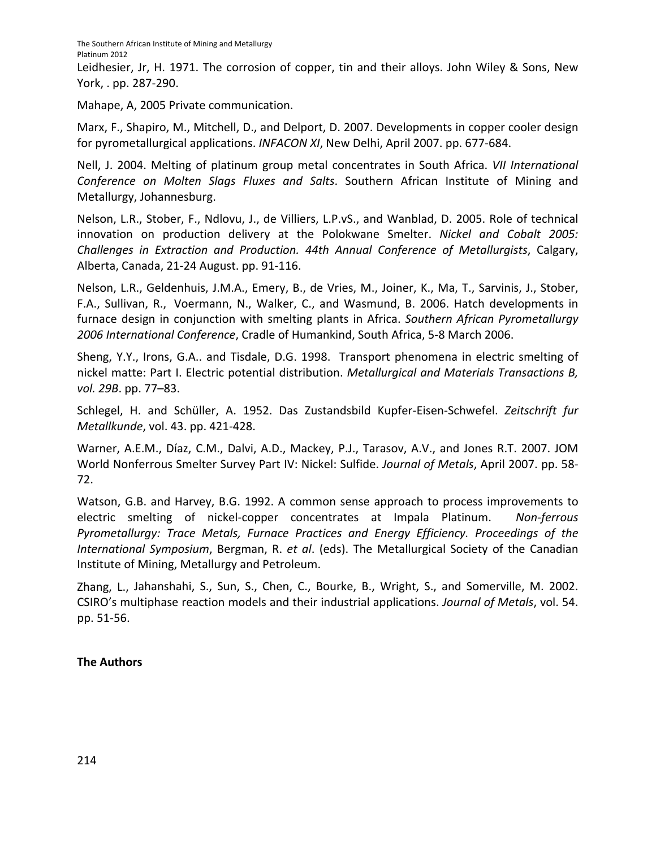Leidhesier, Jr, H. 1971. The corrosion of copper, tin and their alloys. John Wiley & Sons, New York, . pp. 287‐290.

Mahape, A, 2005 Private communication.

Marx, F., Shapiro, M., Mitchell, D., and Delport, D. 2007. Developments in copper cooler design for pyrometallurgical applications. *INFACON XI*, New Delhi, April 2007. pp. 677‐684.

Nell, J. 2004. Melting of platinum group metal concentrates in South Africa. *VII International Conference on Molten Slags Fluxes and Salts*. Southern African Institute of Mining and Metallurgy, Johannesburg.

Nelson, L.R., Stober, F., Ndlovu, J., de Villiers, L.P.vS., and Wanblad, D. 2005. Role of technical innovation on production delivery at the Polokwane Smelter. *Nickel and Cobalt 2005: Challenges in Extraction and Production. 44th Annual Conference of Metallurgists*, Calgary, Alberta, Canada, 21‐24 August. pp. 91‐116.

Nelson, L.R., Geldenhuis, J.M.A., Emery, B., de Vries, M., Joiner, K., Ma, T., Sarvinis, J., Stober, F.A., Sullivan, R., Voermann, N., Walker, C., and Wasmund, B. 2006. Hatch developments in furnace design in conjunction with smelting plants in Africa. *Southern African Pyrometallurgy 2006 International Conference*, Cradle of Humankind, South Africa, 5‐8 March 2006.

Sheng, Y.Y., Irons, G.A.. and Tisdale, D.G. 1998. Transport phenomena in electric smelting of nickel matte: Part I. Electric potential distribution. *Metallurgical and Materials Transactions B, vol. 29B*. pp. 77–83.

Schlegel, H. and Schüller, A. 1952. Das Zustandsbild Kupfer‐Eisen‐Schwefel. *Zeitschrift fur Metallkunde*, vol. 43. pp. 421‐428.

Warner, A.E.M., Díaz, C.M., Dalvi, A.D., Mackey, P.J., Tarasov, A.V., and Jones R.T. 2007. JOM World Nonferrous Smelter Survey Part IV: Nickel: Sulfide. *Journal of Metals*, April 2007. pp. 58‐ 72.

Watson, G.B. and Harvey, B.G. 1992. A common sense approach to process improvements to electric smelting of nickel‐copper concentrates at Impala Platinum. *Non‐ferrous Pyrometallurgy: Trace Metals, Furnace Practices and Energy Efficiency. Proceedings of the International Symposium*, Bergman, R. *et al*. (eds). The Metallurgical Society of the Canadian Institute of Mining, Metallurgy and Petroleum.

Zhang, L., Jahanshahi, S., Sun, S., Chen, C., Bourke, B., Wright, S., and Somerville, M. 2002. CSIRO's multiphase reaction models and their industrial applications. *Journal of Metals*, vol. 54. pp. 51‐56.

## **The Authors**